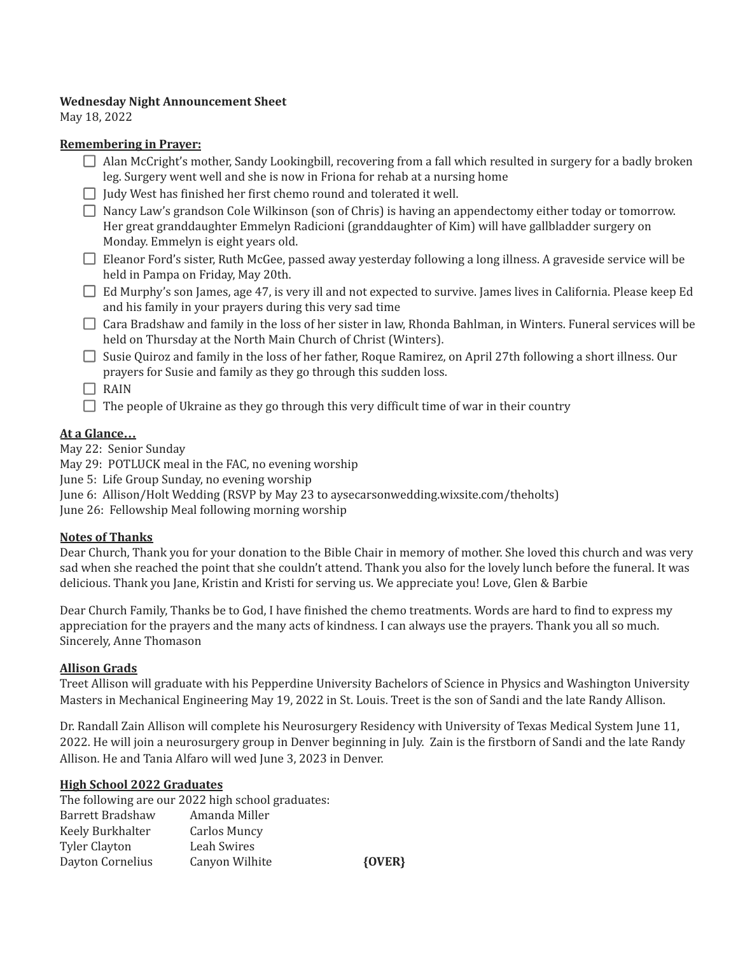#### **Wednesday Night Announcement Sheet**

May 18, 2022

#### **Remembering in Prayer:**

- Alan McCright's mother, Sandy Lookingbill, recovering from a fall which resulted in surgery for a badly broken leg. Surgery went well and she is now in Friona for rehab at a nursing home
- $\Box$  Judy West has finished her first chemo round and tolerated it well.
- Nancy Law's grandson Cole Wilkinson (son of Chris) is having an appendectomy either today or tomorrow. Her great granddaughter Emmelyn Radicioni (granddaughter of Kim) will have gallbladder surgery on Monday. Emmelyn is eight years old.
- Eleanor Ford's sister, Ruth McGee, passed away yesterday following a long illness. A graveside service will be held in Pampa on Friday, May 20th.
- $\Box$  Ed Murphy's son James, age 47, is very ill and not expected to survive. James lives in California. Please keep Ed and his family in your prayers during this very sad time
- $\Box$  Cara Bradshaw and family in the loss of her sister in law, Rhonda Bahlman, in Winters. Funeral services will be held on Thursday at the North Main Church of Christ (Winters).
- $\Box$  Susie Quiroz and family in the loss of her father, Roque Ramirez, on April 27th following a short illness. Our prayers for Susie and family as they go through this sudden loss.

 $\Box$  RAIN

 $\Box$  The people of Ukraine as they go through this very difficult time of war in their country

# **At a Glance…**

May 22: Senior Sunday

May 29: POTLUCK meal in the FAC, no evening worship

June 5: Life Group Sunday, no evening worship

June 6: Allison/Holt Wedding (RSVP by May 23 to aysecarsonwedding.wixsite.com/theholts)

June 26: Fellowship Meal following morning worship

# **Notes of Thanks**

Dear Church, Thank you for your donation to the Bible Chair in memory of mother. She loved this church and was very sad when she reached the point that she couldn't attend. Thank you also for the lovely lunch before the funeral. It was delicious. Thank you Jane, Kristin and Kristi for serving us. We appreciate you! Love, Glen & Barbie

Dear Church Family, Thanks be to God, I have finished the chemo treatments. Words are hard to find to express my appreciation for the prayers and the many acts of kindness. I can always use the prayers. Thank you all so much. Sincerely, Anne Thomason

# **Allison Grads**

Treet Allison will graduate with his Pepperdine University Bachelors of Science in Physics and Washington University Masters in Mechanical Engineering May 19, 2022 in St. Louis. Treet is the son of Sandi and the late Randy Allison.

Dr. Randall Zain Allison will complete his Neurosurgery Residency with University of Texas Medical System June 11, 2022. He will join a neurosurgery group in Denver beginning in July. Zain is the firstborn of Sandi and the late Randy Allison. He and Tania Alfaro will wed June 3, 2023 in Denver.

# **High School 2022 Graduates**

The following are our 2022 high school graduates: Barrett Bradshaw Amanda Miller Keely Burkhalter Carlos Muncy Tyler Clayton Leah Swires Dayton Cornelius Canyon Wilhite **{OVER}**